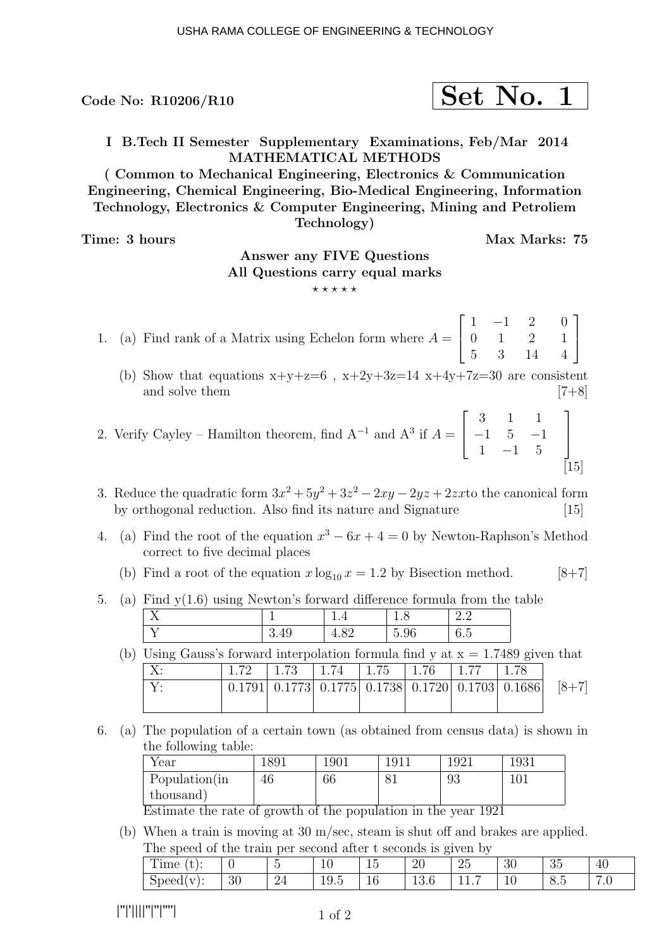Code No: R10206/R10  $\vert$  Set No. 1

I B.Tech II Semester Supplementary Examinations, Feb/Mar 2014 MATHEMATICAL METHODS

( Common to Mechanical Engineering, Electronics & Communication Engineering, Chemical Engineering, Bio-Medical Engineering, Information Technology, Electronics & Computer Engineering, Mining and Petroliem Technology)

Time: 3 hours Max Marks: 75

## Answer any FIVE Questions All Questions carry equal marks

 $\star\star\star\star\star$ 

1. (a) Find rank of a Matrix using Echelon form where  $A =$  $\sqrt{ }$  $\overline{\phantom{a}}$  $1 -1 2$ 0 1 2 5 3 14 0 1 4 1  $\overline{1}$ 

- (b) Show that equations  $x+y+z=6$ ,  $x+2y+3z=14$   $x+4y+7z=30$  are consistent and solve them  $[7+8]$
- 2. Verify Cayley Hamilton theorem, find  $A^{-1}$  and  $A^3$  if  $A =$  $\sqrt{ }$  $\overline{\phantom{a}}$ 3 1 1  $-1$  5  $-1$ 1  $-1$  5 1  $\overline{1}$  $[15]$
- 3. Reduce the quadratic form  $3x^2 + 5y^2 + 3z^2 2xy 2yz + 2zxt$  the canonical form by orthogonal reduction. Also find its nature and Signature [15]
- 4. (a) Find the root of the equation  $x^3 6x + 4 = 0$  by Newton-Raphson's Method correct to five decimal places
	- (b) Find a root of the equation  $x \log_{10} x = 1.2$  by Bisection method. [8+7]
- 5. (a) Find y(1.6) using Newton's forward difference formula from the table

(b) Using Gauss's forward interpolation formula find y at  $x = 1.7489$  given that X: 1.72 1.73 1.74 1.75 1.76 1.77 1.78

|  |  |  | $0.1791$   $0.1773$   $0.1775$   $0.1738$   $0.1720$   $0.1703$   $0.1686$ |  | $[8+7]$ |
|--|--|--|----------------------------------------------------------------------------|--|---------|
|  |  |  |                                                                            |  |         |

6. (a) The population of a certain town (as obtained from census data) is shown in the following table:

| Year                                                                  | 1891 | 1901 | 1011 | 1921            | 1931 |
|-----------------------------------------------------------------------|------|------|------|-----------------|------|
| Population(in                                                         | 46   | 66   |      | 93              |      |
| thousand)                                                             |      |      |      |                 |      |
| $\mathbf{E}$ . The state of $\mathbf{E}$ is the state of $\mathbf{E}$ |      | .    |      | 1.11.11.11.1001 |      |

Estimate the rate of growth of the population in the year 1921

(b) When a train is moving at 30 m/sec, steam is shut off and brakes are applied. The speed of the train per second after t seconds is given by

| m.<br>ıme<br>. .<br>U J . |          | $\tilde{\phantom{a}}$ | $\epsilon$<br>ᆂ              | $\tilde{\phantom{a}}$<br>ᆂ | റ∩<br>∠∪                  | າະ<br>∠ບ | റ<br>∪∪                        | $\Omega$ $\sim$<br>ಀಀ | 46                      |
|---------------------------|----------|-----------------------|------------------------------|----------------------------|---------------------------|----------|--------------------------------|-----------------------|-------------------------|
| $\mathbf{v}$<br>Speed     | ററ<br>ðО | $\Omega$<br>▱         | <u>_</u><br>$\Omega$<br>エン・ワ | -<br>ᆂ                     | 1 ດ<br>$\sqrt{2}$<br>10.U | <b>.</b> | $\overline{\phantom{a}}$<br>ΨO | -<br>- 79<br>ು.ೖ      | $\overline{ }$<br>. . v |

|''|'||||''|''|''''|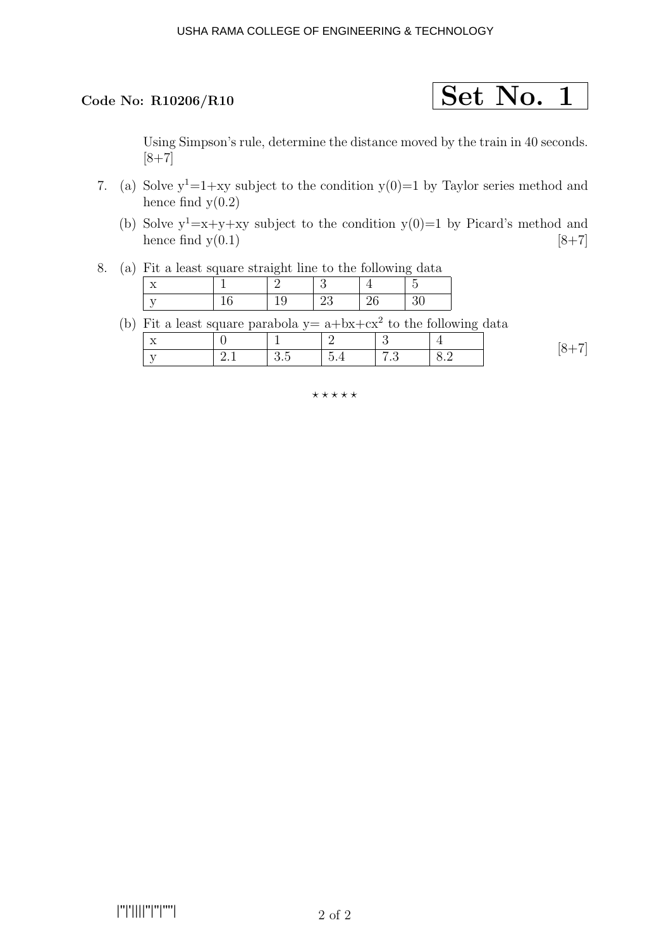

Using Simpson's rule, determine the distance moved by the train in 40 seconds.  $[8+7]$ 

- 7. (a) Solve  $y^1=1+xy$  subject to the condition  $y(0)=1$  by Taylor series method and hence find  $y(0.2)$ 
	- (b) Solve  $y^1=x+y+xy$  subject to the condition  $y(0)=1$  by Picard's method and hence find  $y(0.1)$  [8+7]
- 8. (a) Fit a least square straight line to the following data

(b) Fit a least square parabola  $y = a + bx + cx^2$  to the following data

| $-$<br>$\rightarrow$ |          |                                           |                                                                    |       |                                   |        |
|----------------------|----------|-------------------------------------------|--------------------------------------------------------------------|-------|-----------------------------------|--------|
| $-$                  | <u>_</u> | <b>_</b><br>$\mathbf{v} \cdot \mathbf{v}$ | $\tilde{\phantom{a}}$<br>∽<br>$\cup$ .<br>$\overline{\phantom{a}}$ | . . U | $\cup\cdot\overline{\phantom{0}}$ | $\sim$ |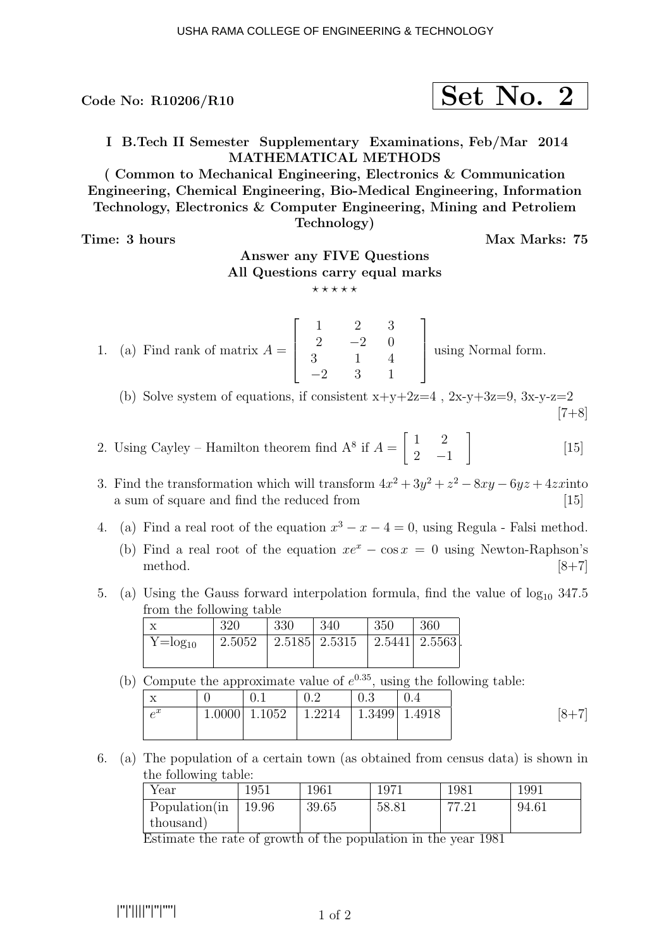$\rm{Code~No:~R10206/R10} \qquad \qquad \textcolor{red}{\textbf{Set~No.~2}}$ 

I B.Tech II Semester Supplementary Examinations, Feb/Mar 2014 MATHEMATICAL METHODS

( Common to Mechanical Engineering, Electronics & Communication Engineering, Chemical Engineering, Bio-Medical Engineering, Information Technology, Electronics & Computer Engineering, Mining and Petroliem Technology)

Time: 3 hours Max Marks: 75

# Answer any FIVE Questions All Questions carry equal marks

 $***$ \*\*

1. (a) Find rank of matrix  $A =$  $\sqrt{ }$  $\Bigg\}$ 1 2 3  $2 -2 0$ 3 −2 1 3 4 1 1  $\Big\}$ using Normal form.

(b) Solve system of equations, if consistent  $x+y+2z=4$ ,  $2x-y+3z=9$ ,  $3x-y-z=2$  $[7+8]$ 

- 2. Using Cayley Hamilton theorem find  $A^8$  if  $A = \begin{bmatrix} 1 & 2 \end{bmatrix}$  $2 -1$ 1 [15]
- 3. Find the transformation which will transform  $4x^2 + 3y^2 + z^2 8xy 6yz + 4zx$  into a sum of square and find the reduced from [15]
- 4. (a) Find a real root of the equation  $x^3 x 4 = 0$ , using Regula Falsi method.
	- (b) Find a real root of the equation  $xe^x \cos x = 0$  using Newton-Raphson's method.  $[8+7]$
- 5. (a) Using the Gauss forward interpolation formula, find the value of  $log_{10} 347.5$ from the following table

|                | 320    | 330 | 340                               | 350 | 360 |
|----------------|--------|-----|-----------------------------------|-----|-----|
| $Y = log_{10}$ | 2.5052 |     | 2.5185   2.5315   2.5441   2.5563 |     |     |
|                |        |     |                                   |     |     |

(b) Compute the approximate value of  $e^{0.35}$ , using the following table:

| $-$<br>∡   | $0.1\,$ | 0.2                                                  | 0.3 |  |
|------------|---------|------------------------------------------------------|-----|--|
| $\alpha^x$ |         | $1.0000$   $1.1052$   $1.2214$   $1.3499$   $1.4918$ |     |  |
|            |         |                                                      |     |  |

6. (a) The population of a certain town (as obtained from census data) is shown in the following table:

| Year          | 1951  | 1961  | 1971  | 1981     | 1991  |
|---------------|-------|-------|-------|----------|-------|
| Population(in | 19.96 | 39.65 | 58.81 | חח<br>ി- | 94.61 |
| thousand)     |       |       |       |          |       |

Estimate the rate of growth of the population in the year 1981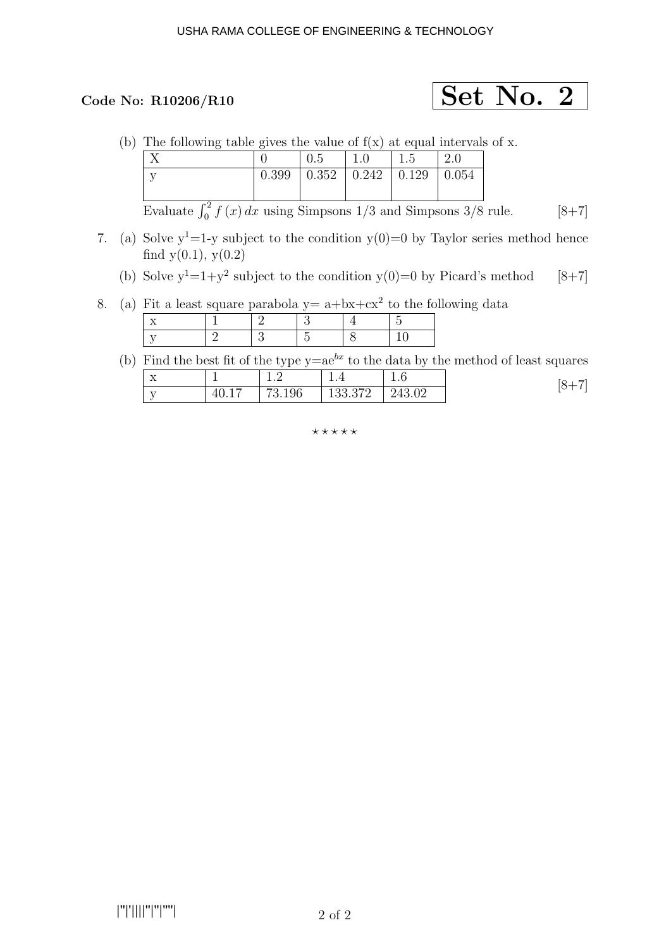# Code No: R10206/R10  $\qquad \qquad$  Set No. 2

(b) The following table gives the value of  $f(x)$  at equal intervals of x.

|         |       |                             | $\overline{\phantom{0}}$<br>G. L | $\Delta$ . |
|---------|-------|-----------------------------|----------------------------------|------------|
| $\cdot$ | 0.399 | $0.352 \pm 0.242 \pm 0.129$ |                                  | 0.054      |
|         |       |                             |                                  |            |

Evaluate  $\int_0^2 f(x) dx$  using Simpsons 1/3 and Simpsons 3/8 rule. [8+7]

- 7. (a) Solve  $y^1$ =1-y subject to the condition  $y(0)=0$  by Taylor series method hence find  $y(0.1)$ ,  $y(0.2)$ 
	- (b) Solve  $y^1=1+y^2$  subject to the condition  $y(0)=0$  by Picard's method [8+7]
- 8. (a) Fit a least square parabola  $y = a + bx + cx^2$  to the following data

# (b) Find the best fit of the type  $y=ae^{bx}$  to the data by the method of least squares

| $\mathbf{v}$<br>$\Lambda$ | --                     | . . <u>.</u> | <b>.</b>           | ۰<br>$\cdot$ $\cdot$ | 'X⊥ |
|---------------------------|------------------------|--------------|--------------------|----------------------|-----|
| <b>TT</b><br>◡            | 40.1.<br>$\rightarrow$ | 73.196       | 122.279<br>100.014 | 243.02               | ◡   |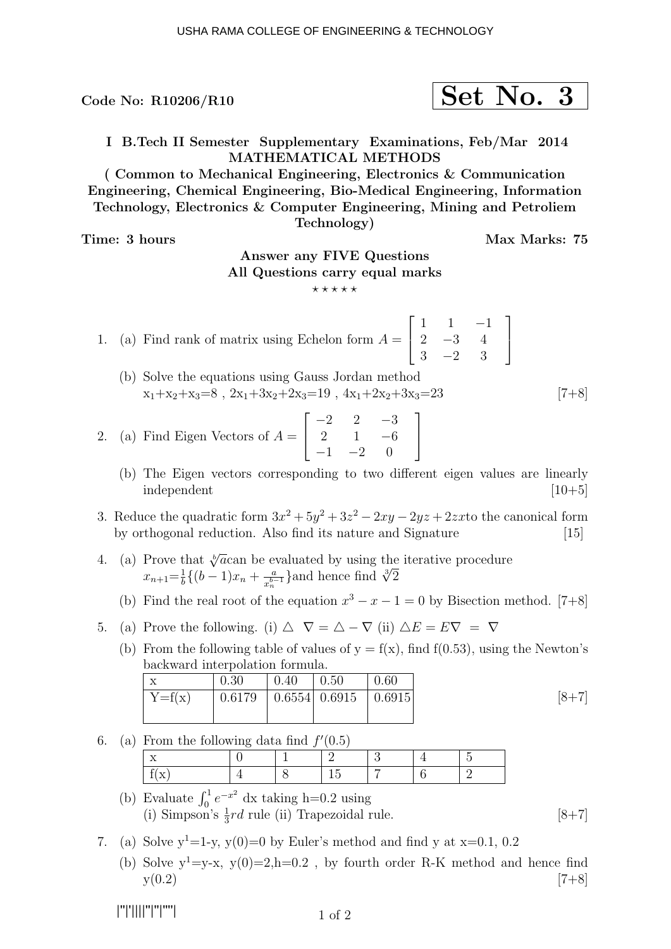Code No: R10206/R10  $\vert$  Set No. 3

I B.Tech II Semester Supplementary Examinations, Feb/Mar 2014 MATHEMATICAL METHODS

( Common to Mechanical Engineering, Electronics & Communication Engineering, Chemical Engineering, Bio-Medical Engineering, Information Technology, Electronics & Computer Engineering, Mining and Petroliem Technology)

Time: 3 hours and the set of the Max Marks: 75

1

 $\overline{1}$ 

# Answer any FIVE Questions All Questions carry equal marks

 $\star\star\star\star\star$ 

1. (a) Find rank of matrix using Echelon form  $A =$  $\sqrt{ }$  $\overline{\phantom{a}}$  $1 \quad 1 \quad -1$  $2 -3 4$  $3 -2 3$ 

(b) Solve the equations using Gauss Jordan method  $x_1+x_2+x_3=8$ ,  $2x_1+3x_2+2x_3=19$ ,  $4x_1+2x_2+3x_3=23$  [7+8]

1

 $\overline{1}$ 

- 2. (a) Find Eigen Vectors of  $A =$  $\sqrt{ }$  $\overline{1}$  $-2$  2  $-3$ 2 1  $-6$  $-1$   $-2$  0
	- (b) The Eigen vectors corresponding to two different eigen values are linearly  $\mu$  independent  $\mu$  and  $\mu$  and  $\mu$  and  $\mu$  and  $\mu$  and  $\mu$  and  $\mu$  and  $\mu$  and  $\mu$  and  $\mu$  and  $\mu$  and  $\mu$  and  $\mu$  and  $\mu$  and  $\mu$  and  $\mu$  and  $\mu$  and  $\mu$  and  $\mu$  and  $\mu$  and  $\mu$  and  $\mu$  and  $\mu$  a
- 3. Reduce the quadratic form  $3x^2 + 5y^2 + 3z^2 2xy 2yz + 2zxt$  the canonical form by orthogonal reduction. Also find its nature and Signature [15]
- 4. (a) Prove that  $\sqrt[n]{a}$  can be evaluated by using the iterative procedure  $x_{n+1} = \frac{1}{b} \{ (b-1)x_n + \frac{a}{x_n^{b-1}} \}$  $\frac{a}{x_n^{b-1}}$ }and hence find  $\sqrt[3]{2}$ 
	- (b) Find the real root of the equation  $x^3 x 1 = 0$  by Bisection method. [7+8]
- 5. (a) Prove the following. (i)  $\triangle \nabla = \triangle \nabla$  (ii)  $\triangle E = E \nabla = \nabla$ 
	- (b) From the following table of values of  $y = f(x)$ , find  $f(0.53)$ , using the Newton's backward interpolation formula.

| $\tau$   | 0.30 | 0.40 | $\mid$ 0.50                               | 0.60 |                 |
|----------|------|------|-------------------------------------------|------|-----------------|
| $Y=f(x)$ |      |      | $0.6179$   $0.6554$   $0.6915$   $0.6915$ |      | $\overline{8+}$ |
|          |      |      |                                           |      |                 |

6. (a) From the following data find  $f'(0.5)$ 

- (b) Evaluate  $\int_0^1 e^{-x^2} dx$  taking h=0.2 using (i) Simpson's  $\frac{1}{3}rd$  rule (ii) Trapezoidal rule. [8+7]
- 7. (a) Solve  $y^1=1-y$ ,  $y(0)=0$  by Euler's method and find y at  $x=0.1$ , 0.2
	- (b) Solve  $y^1 = y-x$ ,  $y(0) = 2$ , h=0.2, by fourth order R-K method and hence find  $y(0.2)$  [7+8]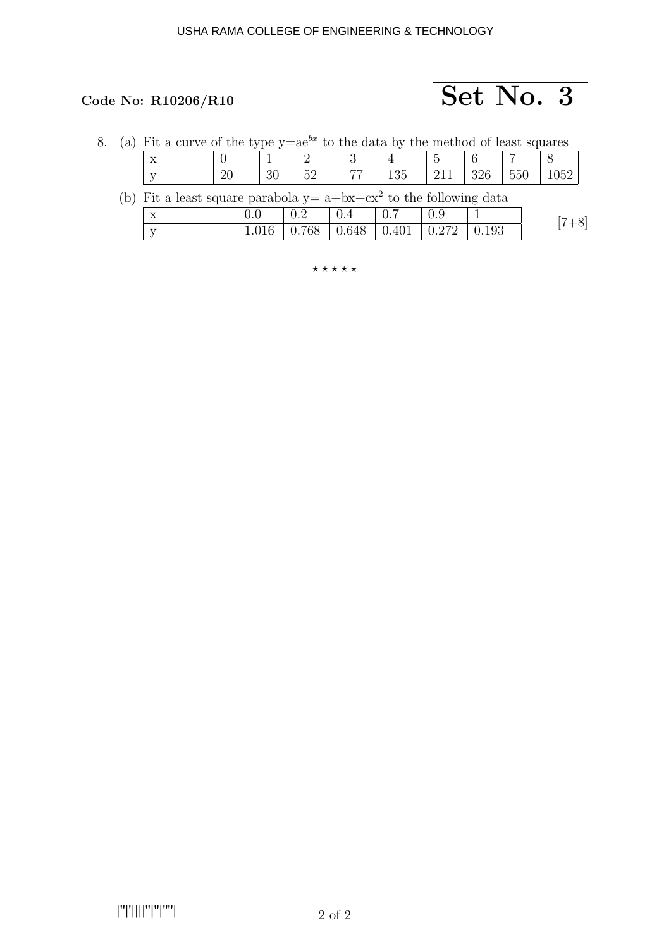

|  | (a) Fit a curve of the type $y=ae^{bx}$ to the data by the method of least squares |    |    |    |     |     |     |     |      |
|--|------------------------------------------------------------------------------------|----|----|----|-----|-----|-----|-----|------|
|  |                                                                                    |    |    |    |     |     |     |     |      |
|  |                                                                                    | 30 | 52 | 77 | 135 | 211 | 326 | 550 | 1052 |

| (b) Fit a least square parabola $y = a + bx + cx^2$ to the following data |  |  |  |  |
|---------------------------------------------------------------------------|--|--|--|--|
|                                                                           |  |  |  |  |

| ⋏ | $\pm 0.2$ | $\vert 0.7$                                   | $\pm 0.9$ |  |
|---|-----------|-----------------------------------------------|-----------|--|
|   |           | 1.016   0.768   0.648   0.401   0.272   0.193 |           |  |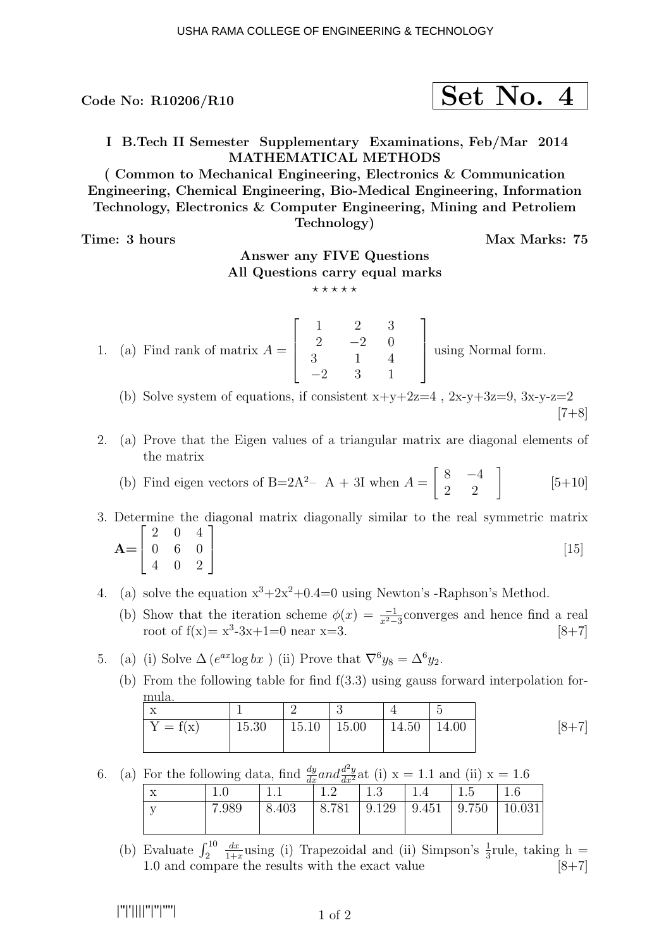Code No: R10206/R10  $\vert$  Set No. 4

I B.Tech II Semester Supplementary Examinations, Feb/Mar 2014 MATHEMATICAL METHODS

( Common to Mechanical Engineering, Electronics & Communication Engineering, Chemical Engineering, Bio-Medical Engineering, Information Technology, Electronics & Computer Engineering, Mining and Petroliem Technology)

Time: 3 hours Max Marks: 75

# Answer any FIVE Questions All Questions carry equal marks

 $***$ \*\*

1. (a) Find rank of matrix  $A =$  $\sqrt{ }$  $\Bigg\}$ 1 2 3  $2 -2 0$ 3 −2 1 3 4 1 1  $\Big\}$ using Normal form.

(b) Solve system of equations, if consistent  $x+y+2z=4$  ,  $2x-y+3z=9$ ,  $3x-y-z=2$  $[7+8]$ 

2. (a) Prove that the Eigen values of a triangular matrix are diagonal elements of the matrix

(b) Find eigen vectors of B=2A<sup>2</sup>– A + 3I when 
$$
A = \begin{bmatrix} 8 & -4 \\ 2 & 2 \end{bmatrix}
$$
 [5+10]

3. Determine the diagonal matrix diagonally similar to the real symmetric matrix  $A=$  $\sqrt{ }$  $\overline{\phantom{a}}$ 2 0 4 0 6 0 4 0 2 1 [15]

- 4. (a) solve the equation  $x^3+2x^2+0.4=0$  using Newton's -Raphson's Method.
	- (b) Show that the iteration scheme  $\phi(x) = \frac{-1}{x^2-3}$ converges and hence find a real root of  $f(x) = x^3-3x+1=0$  near  $x=3$ . [8+7]
- 5. (a) (i) Solve  $\Delta(e^{ax} \log bx)$  (ii) Prove that  $\nabla^6 y_8 = \Delta^6 y_2$ .
	- (b) From the following table for find f(3.3) using gauss forward interpolation formula.

| $Y = f(x)$ | 15.30   15.10   15.00   14.50   14.00 | $[8 + 7]$ |
|------------|---------------------------------------|-----------|

6. (a) For the following data, find  $\frac{dy}{dx}$  and  $\frac{d^2y}{dx^2}$  at (i)  $x = 1.1$  and (ii)  $x = 1.6$ 

|     | $\sim$ | uх    | ULT   |        |       |                     |        |
|-----|--------|-------|-------|--------|-------|---------------------|--------|
| $-$ | T.A    |       |       | ⊥.⊍    |       |                     |        |
|     | 7.989  | 8.403 | 8.781 | 19.129 | 9.451 | $\vert 9.750 \vert$ | 10.031 |
|     |        |       |       |        |       |                     |        |

(b) Evaluate  $\int_2^{10}$  $dx$  $\frac{dx}{1+x}$ using (i) Trapezoidal and (ii) Simpson's  $\frac{1}{3}$ rule, taking h = 1.0 and compare the results with the exact value  $[8+7]$